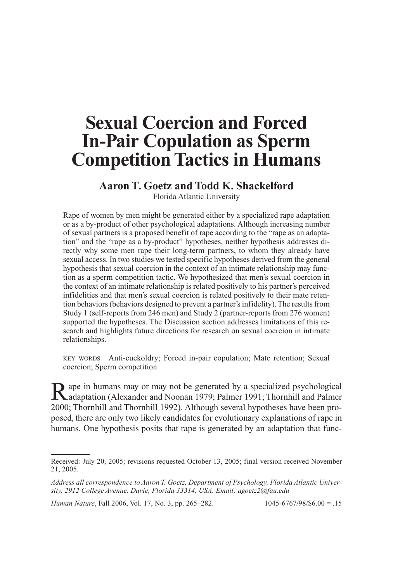# **Sexual Coercion and Forced In-Pair Copulation as Sperm Competition Tactics in Humans**

# **Aaron T. Goetz and Todd K. Shackelford**

Florida Atlantic University

Rape of women by men might be generated either by a specialized rape adaptation or as a by-product of other psychological adaptations. Although increasing number of sexual partners is a proposed benefit of rape according to the "rape as an adaptation" and the "rape as a by-product" hypotheses, neither hypothesis addresses directly why some men rape their long-term partners, to whom they already have sexual access. In two studies we tested specific hypotheses derived from the general hypothesis that sexual coercion in the context of an intimate relationship may function as a sperm competition tactic. We hypothesized that men's sexual coercion in the context of an intimate relationship is related positively to his partner's perceived infidelities and that men's sexual coercion is related positively to their mate retention behaviors (behaviors designed to prevent a partner's infidelity). The results from Study 1 (self-reports from 246 men) and Study 2 (partner-reports from 276 women) supported the hypotheses. The Discussion section addresses limitations of this research and highlights future directions for research on sexual coercion in intimate relationships.

KEY WORDS Anti-cuckoldry; Forced in-pair copulation; Mate retention; Sexual coercion; Sperm competition

Rape in humans may or may not be generated by a specialized psychological<br>adaptation (Alexander and Noonan 1979; Palmer 1991; Thornhill and Palmer 2000; Thornhill and Thornhill 1992). Although several hypotheses have been proposed, there are only two likely candidates for evolutionary explanations of rape in humans. One hypothesis posits that rape is generated by an adaptation that func-

*Human Nature*, Fall 2006, Vol. 17, No. 3, pp. 265–282. 1045-6767/98/\$6.00 = .15

Received: July 20, 2005; revisions requested October 13, 2005; final version received November 21, 2005.

*Address all correspondence to Aaron T. Goetz, Department of Psychology, Florida Atlantic University, 2912 College Avenue, Davie, Florida 33314, USA. Email: agoetz2@fau.edu*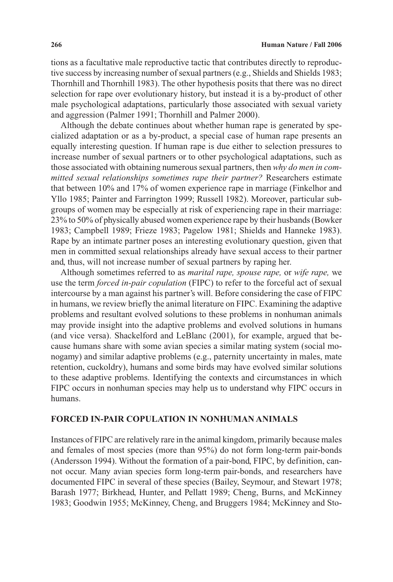tions as a facultative male reproductive tactic that contributes directly to reproductive success by increasing number of sexual partners (e.g., Shields and Shields 1983; Thornhill and Thornhill 1983). The other hypothesis posits that there was no direct selection for rape over evolutionary history, but instead it is a by-product of other male psychological adaptations, particularly those associated with sexual variety and aggression (Palmer 1991; Thornhill and Palmer 2000).

Although the debate continues about whether human rape is generated by specialized adaptation or as a by-product, a special case of human rape presents an equally interesting question. If human rape is due either to selection pressures to increase number of sexual partners or to other psychological adaptations, such as those associated with obtaining numerous sexual partners, then *why do men in committed sexual relationships sometimes rape their partner?* Researchers estimate that between 10% and 17% of women experience rape in marriage (Finkelhor and Yllo 1985; Painter and Farrington 1999; Russell 1982). Moreover, particular subgroups of women may be especially at risk of experiencing rape in their marriage: 23% to 50% of physically abused women experience rape by their husbands (Bowker 1983; Campbell 1989; Frieze 1983; Pagelow 1981; Shields and Hanneke 1983). Rape by an intimate partner poses an interesting evolutionary question, given that men in committed sexual relationships already have sexual access to their partner and, thus, will not increase number of sexual partners by raping her.

Although sometimes referred to as *marital rape, spouse rape,* or *wife rape,* we use the term *forced in-pair copulation* (FIPC) to refer to the forceful act of sexual intercourse by a man against his partner's will. Before considering the case of FIPC in humans, we review briefly the animal literature on FIPC. Examining the adaptive problems and resultant evolved solutions to these problems in nonhuman animals may provide insight into the adaptive problems and evolved solutions in humans (and vice versa). Shackelford and LeBlanc (2001), for example, argued that because humans share with some avian species a similar mating system (social monogamy) and similar adaptive problems (e.g., paternity uncertainty in males, mate retention, cuckoldry), humans and some birds may have evolved similar solutions to these adaptive problems. Identifying the contexts and circumstances in which FIPC occurs in nonhuman species may help us to understand why FIPC occurs in humans.

#### **FORCED IN-PAIR COPULATION IN NONHUMAN ANIMALS**

Instances of FIPC are relatively rare in the animal kingdom, primarily because males and females of most species (more than 95%) do not form long-term pair-bonds (Andersson 1994). Without the formation of a pair-bond, FIPC, by definition, cannot occur. Many avian species form long-term pair-bonds, and researchers have documented FIPC in several of these species (Bailey, Seymour, and Stewart 1978; Barash 1977; Birkhead, Hunter, and Pellatt 1989; Cheng, Burns, and McKinney 1983; Goodwin 1955; McKinney, Cheng, and Bruggers 1984; McKinney and Sto-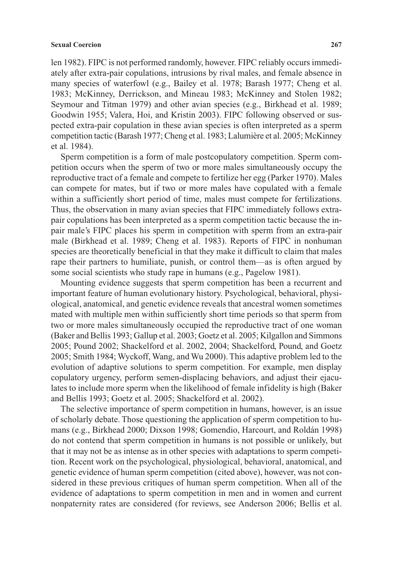len 1982). FIPC is not performed randomly, however. FIPC reliably occurs immediately after extra-pair copulations, intrusions by rival males, and female absence in many species of waterfowl (e.g., Bailey et al. 1978; Barash 1977; Cheng et al. 1983; McKinney, Derrickson, and Mineau 1983; McKinney and Stolen 1982; Seymour and Titman 1979) and other avian species (e.g., Birkhead et al. 1989; Goodwin 1955; Valera, Hoi, and Kristin 2003). FIPC following observed or suspected extra-pair copulation in these avian species is often interpreted as a sperm competition tactic (Barash 1977; Cheng et al. 1983; Lalumière et al. 2005; McKinney et al. 1984).

Sperm competition is a form of male postcopulatory competition. Sperm competition occurs when the sperm of two or more males simultaneously occupy the reproductive tract of a female and compete to fertilize her egg (Parker 1970). Males can compete for mates, but if two or more males have copulated with a female within a sufficiently short period of time, males must compete for fertilizations. Thus, the observation in many avian species that FIPC immediately follows extrapair copulations has been interpreted as a sperm competition tactic because the inpair male's FIPC places his sperm in competition with sperm from an extra-pair male (Birkhead et al. 1989; Cheng et al. 1983). Reports of FIPC in nonhuman species are theoretically beneficial in that they make it difficult to claim that males rape their partners to humiliate, punish, or control them—as is often argued by some social scientists who study rape in humans (e.g., Pagelow 1981).

Mounting evidence suggests that sperm competition has been a recurrent and important feature of human evolutionary history. Psychological, behavioral, physiological, anatomical, and genetic evidence reveals that ancestral women sometimes mated with multiple men within sufficiently short time periods so that sperm from two or more males simultaneously occupied the reproductive tract of one woman (Baker and Bellis 1993; Gallup et al. 2003; Goetz et al. 2005; Kilgallon and Simmons 2005; Pound 2002; Shackelford et al. 2002, 2004; Shackelford, Pound, and Goetz 2005; Smith 1984; Wyckoff, Wang, and Wu 2000). This adaptive problem led to the evolution of adaptive solutions to sperm competition. For example, men display copulatory urgency, perform semen-displacing behaviors, and adjust their ejaculates to include more sperm when the likelihood of female infidelity is high (Baker and Bellis 1993; Goetz et al. 2005; Shackelford et al. 2002).

The selective importance of sperm competition in humans, however, is an issue of scholarly debate. Those questioning the application of sperm competition to humans (e.g., Birkhead 2000; Dixson 1998; Gomendio, Harcourt, and Roldán 1998) do not contend that sperm competition in humans is not possible or unlikely, but that it may not be as intense as in other species with adaptations to sperm competition. Recent work on the psychological, physiological, behavioral, anatomical, and genetic evidence of human sperm competition (cited above), however, was not considered in these previous critiques of human sperm competition. When all of the evidence of adaptations to sperm competition in men and in women and current nonpaternity rates are considered (for reviews, see Anderson 2006; Bellis et al.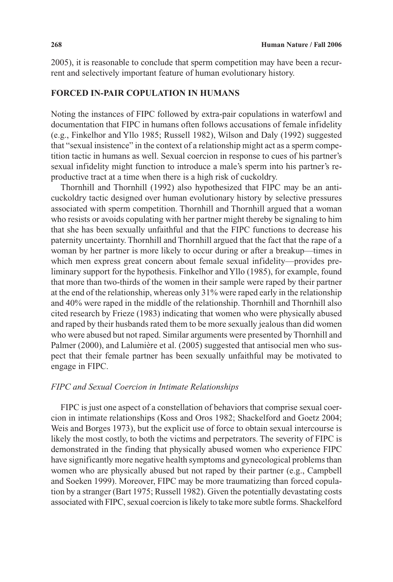2005), it is reasonable to conclude that sperm competition may have been a recurrent and selectively important feature of human evolutionary history.

# **FORCED IN-PAIR COPULATION IN HUMANS**

Noting the instances of FIPC followed by extra-pair copulations in waterfowl and documentation that FIPC in humans often follows accusations of female infidelity (e.g., Finkelhor and Yllo 1985; Russell 1982), Wilson and Daly (1992) suggested that "sexual insistence" in the context of a relationship might act as a sperm competition tactic in humans as well. Sexual coercion in response to cues of his partner's sexual infidelity might function to introduce a male's sperm into his partner's reproductive tract at a time when there is a high risk of cuckoldry.

Thornhill and Thornhill (1992) also hypothesized that FIPC may be an anticuckoldry tactic designed over human evolutionary history by selective pressures associated with sperm competition. Thornhill and Thornhill argued that a woman who resists or avoids copulating with her partner might thereby be signaling to him that she has been sexually unfaithful and that the FIPC functions to decrease his paternity uncertainty. Thornhill and Thornhill argued that the fact that the rape of a woman by her partner is more likely to occur during or after a breakup—times in which men express great concern about female sexual infidelity—provides preliminary support for the hypothesis. Finkelhor and Yllo (1985), for example, found that more than two-thirds of the women in their sample were raped by their partner at the end of the relationship, whereas only 31% were raped early in the relationship and 40% were raped in the middle of the relationship. Thornhill and Thornhill also cited research by Frieze (1983) indicating that women who were physically abused and raped by their husbands rated them to be more sexually jealous than did women who were abused but not raped. Similar arguments were presented by Thornhill and Palmer (2000), and Lalumière et al. (2005) suggested that antisocial men who suspect that their female partner has been sexually unfaithful may be motivated to engage in FIPC.

#### *FIPC and Sexual Coercion in Intimate Relationships*

FIPC is just one aspect of a constellation of behaviors that comprise sexual coercion in intimate relationships (Koss and Oros 1982; Shackelford and Goetz 2004; Weis and Borges 1973), but the explicit use of force to obtain sexual intercourse is likely the most costly, to both the victims and perpetrators. The severity of FIPC is demonstrated in the finding that physically abused women who experience FIPC have significantly more negative health symptoms and gynecological problems than women who are physically abused but not raped by their partner (e.g., Campbell and Soeken 1999). Moreover, FIPC may be more traumatizing than forced copulation by a stranger (Bart 1975; Russell 1982). Given the potentially devastating costs associated with FIPC, sexual coercion is likely to take more subtle forms. Shackelford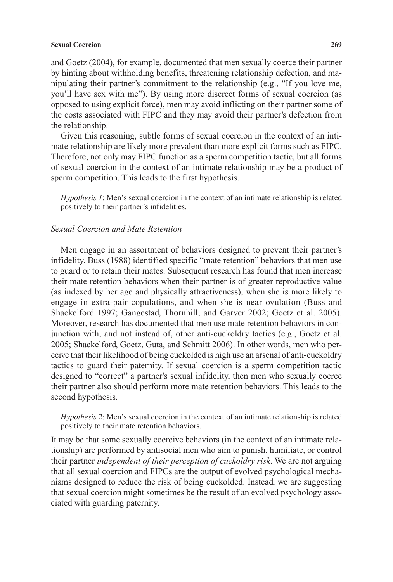and Goetz (2004), for example, documented that men sexually coerce their partner by hinting about withholding benefits, threatening relationship defection, and manipulating their partner's commitment to the relationship (e.g., "If you love me, you'll have sex with me"). By using more discreet forms of sexual coercion (as opposed to using explicit force), men may avoid inflicting on their partner some of the costs associated with FIPC and they may avoid their partner's defection from the relationship.

Given this reasoning, subtle forms of sexual coercion in the context of an intimate relationship are likely more prevalent than more explicit forms such as FIPC. Therefore, not only may FIPC function as a sperm competition tactic, but all forms of sexual coercion in the context of an intimate relationship may be a product of sperm competition. This leads to the first hypothesis.

*Hypothesis 1*: Men's sexual coercion in the context of an intimate relationship is related positively to their partner's infidelities.

# *Sexual Coercion and Mate Retention*

Men engage in an assortment of behaviors designed to prevent their partner's infidelity. Buss (1988) identified specific "mate retention" behaviors that men use to guard or to retain their mates. Subsequent research has found that men increase their mate retention behaviors when their partner is of greater reproductive value (as indexed by her age and physically attractiveness), when she is more likely to engage in extra-pair copulations, and when she is near ovulation (Buss and Shackelford 1997; Gangestad, Thornhill, and Garver 2002; Goetz et al. 2005). Moreover, research has documented that men use mate retention behaviors in conjunction with, and not instead of, other anti-cuckoldry tactics (e.g., Goetz et al. 2005; Shackelford, Goetz, Guta, and Schmitt 2006). In other words, men who perceive that their likelihood of being cuckolded is high use an arsenal of anti-cuckoldry tactics to guard their paternity. If sexual coercion is a sperm competition tactic designed to "correct" a partner's sexual infidelity, then men who sexually coerce their partner also should perform more mate retention behaviors. This leads to the second hypothesis.

*Hypothesis 2*: Men's sexual coercion in the context of an intimate relationship is related positively to their mate retention behaviors.

It may be that some sexually coercive behaviors (in the context of an intimate relationship) are performed by antisocial men who aim to punish, humiliate, or control their partner *independent of their perception of cuckoldry risk*. We are not arguing that all sexual coercion and FIPCs are the output of evolved psychological mechanisms designed to reduce the risk of being cuckolded. Instead, we are suggesting that sexual coercion might sometimes be the result of an evolved psychology associated with guarding paternity.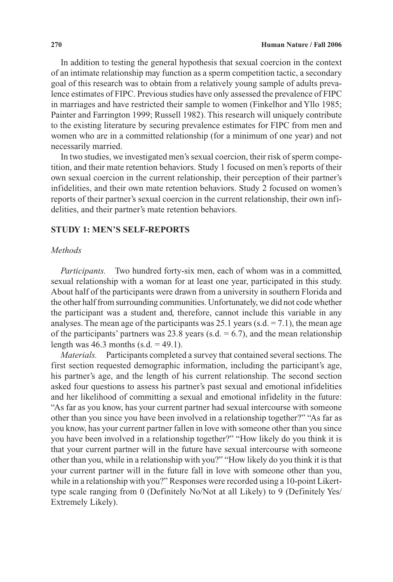In addition to testing the general hypothesis that sexual coercion in the context of an intimate relationship may function as a sperm competition tactic, a secondary goal of this research was to obtain from a relatively young sample of adults prevalence estimates of FIPC. Previous studies have only assessed the prevalence of FIPC in marriages and have restricted their sample to women (Finkelhor and Yllo 1985; Painter and Farrington 1999; Russell 1982). This research will uniquely contribute to the existing literature by securing prevalence estimates for FIPC from men and women who are in a committed relationship (for a minimum of one year) and not necessarily married.

In two studies, we investigated men's sexual coercion, their risk of sperm competition, and their mate retention behaviors. Study 1 focused on men's reports of their own sexual coercion in the current relationship, their perception of their partner's infidelities, and their own mate retention behaviors. Study 2 focused on women's reports of their partner's sexual coercion in the current relationship, their own infidelities, and their partner's mate retention behaviors.

#### **STUDY 1: MEN'S SELF-REPORTS**

#### *Methods*

*Participants.* Two hundred forty-six men, each of whom was in a committed, sexual relationship with a woman for at least one year, participated in this study. About half of the participants were drawn from a university in southern Florida and the other half from surrounding communities. Unfortunately, we did not code whether the participant was a student and, therefore, cannot include this variable in any analyses. The mean age of the participants was 25.1 years (s.d.  $= 7.1$ ), the mean age of the participants' partners was 23.8 years (s.d.  $= 6.7$ ), and the mean relationship length was  $46.3$  months (s.d.  $= 49.1$ ).

*Materials.* Participants completed a survey that contained several sections. The first section requested demographic information, including the participant's age, his partner's age, and the length of his current relationship. The second section asked four questions to assess his partner's past sexual and emotional infidelities and her likelihood of committing a sexual and emotional infidelity in the future: "As far as you know, has your current partner had sexual intercourse with someone other than you since you have been involved in a relationship together?" "As far as you know, has your current partner fallen in love with someone other than you since you have been involved in a relationship together?" "How likely do you think it is that your current partner will in the future have sexual intercourse with someone other than you, while in a relationship with you?" "How likely do you think it is that your current partner will in the future fall in love with someone other than you, while in a relationship with you?" Responses were recorded using a 10-point Likerttype scale ranging from 0 (Definitely No/Not at all Likely) to 9 (Definitely Yes/ Extremely Likely).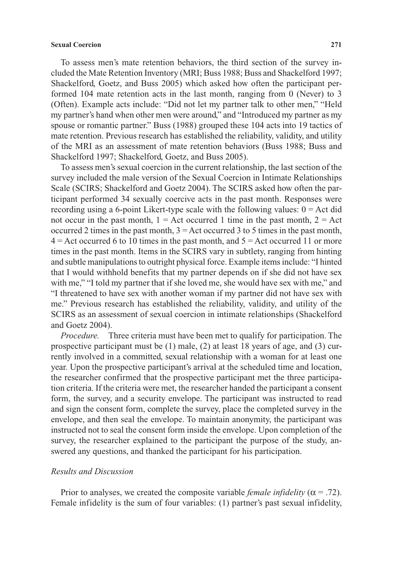To assess men's mate retention behaviors, the third section of the survey included the Mate Retention Inventory (MRI; Buss 1988; Buss and Shackelford 1997; Shackelford, Goetz, and Buss 2005) which asked how often the participant performed 104 mate retention acts in the last month, ranging from 0 (Never) to 3 (Often). Example acts include: "Did not let my partner talk to other men," "Held my partner's hand when other men were around," and "Introduced my partner as my spouse or romantic partner." Buss (1988) grouped these 104 acts into 19 tactics of mate retention. Previous research has established the reliability, validity, and utility of the MRI as an assessment of mate retention behaviors (Buss 1988; Buss and Shackelford 1997; Shackelford, Goetz, and Buss 2005).

To assess men's sexual coercion in the current relationship, the last section of the survey included the male version of the Sexual Coercion in Intimate Relationships Scale (SCIRS; Shackelford and Goetz 2004). The SCIRS asked how often the participant performed 34 sexually coercive acts in the past month. Responses were recording using a 6-point Likert-type scale with the following values:  $0 = Act$  did not occur in the past month,  $1 =$ Act occurred 1 time in the past month,  $2 =$ Act occurred 2 times in the past month,  $3 =$  Act occurred 3 to 5 times in the past month,  $4 =$ Act occurred 6 to 10 times in the past month, and  $5 =$ Act occurred 11 or more times in the past month. Items in the SCIRS vary in subtlety, ranging from hinting and subtle manipulations to outright physical force. Example items include: "I hinted that I would withhold benefits that my partner depends on if she did not have sex with me," "I told my partner that if she loved me, she would have sex with me," and "I threatened to have sex with another woman if my partner did not have sex with me." Previous research has established the reliability, validity, and utility of the SCIRS as an assessment of sexual coercion in intimate relationships (Shackelford and Goetz 2004).

*Procedure.* Three criteria must have been met to qualify for participation. The prospective participant must be (1) male, (2) at least 18 years of age, and (3) currently involved in a committed, sexual relationship with a woman for at least one year. Upon the prospective participant's arrival at the scheduled time and location, the researcher confirmed that the prospective participant met the three participation criteria. If the criteria were met, the researcher handed the participant a consent form, the survey, and a security envelope. The participant was instructed to read and sign the consent form, complete the survey, place the completed survey in the envelope, and then seal the envelope. To maintain anonymity, the participant was instructed not to seal the consent form inside the envelope. Upon completion of the survey, the researcher explained to the participant the purpose of the study, answered any questions, and thanked the participant for his participation.

### *Results and Discussion*

Prior to analyses, we created the composite variable *female infidelity* ( $\alpha$  = .72). Female infidelity is the sum of four variables: (1) partner's past sexual infidelity,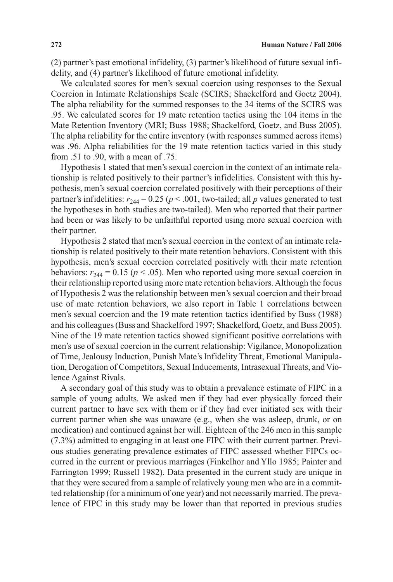(2) partner's past emotional infidelity, (3) partner's likelihood of future sexual infidelity, and (4) partner's likelihood of future emotional infidelity.

We calculated scores for men's sexual coercion using responses to the Sexual Coercion in Intimate Relationships Scale (SCIRS; Shackelford and Goetz 2004). The alpha reliability for the summed responses to the 34 items of the SCIRS was .95. We calculated scores for 19 mate retention tactics using the 104 items in the Mate Retention Inventory (MRI; Buss 1988; Shackelford, Goetz, and Buss 2005). The alpha reliability for the entire inventory (with responses summed across items) was .96. Alpha reliabilities for the 19 mate retention tactics varied in this study from .51 to .90, with a mean of .75.

Hypothesis 1 stated that men's sexual coercion in the context of an intimate relationship is related positively to their partner's infidelities. Consistent with this hypothesis, men's sexual coercion correlated positively with their perceptions of their partner's infidelities:  $r_{244} = 0.25$  ( $p < .001$ , two-tailed; all  $p$  values generated to test the hypotheses in both studies are two-tailed). Men who reported that their partner had been or was likely to be unfaithful reported using more sexual coercion with their partner.

Hypothesis 2 stated that men's sexual coercion in the context of an intimate relationship is related positively to their mate retention behaviors. Consistent with this hypothesis, men's sexual coercion correlated positively with their mate retention behaviors:  $r_{244} = 0.15$  ( $p < .05$ ). Men who reported using more sexual coercion in their relationship reported using more mate retention behaviors. Although the focus of Hypothesis 2 was the relationship between men's sexual coercion and their broad use of mate retention behaviors, we also report in Table 1 correlations between men's sexual coercion and the 19 mate retention tactics identified by Buss (1988) and his colleagues (Buss and Shackelford 1997; Shackelford, Goetz, and Buss 2005). Nine of the 19 mate retention tactics showed significant positive correlations with men's use of sexual coercion in the current relationship: Vigilance, Monopolization of Time, Jealousy Induction, Punish Mate's Infidelity Threat, Emotional Manipulation, Derogation of Competitors, Sexual Inducements, Intrasexual Threats, and Violence Against Rivals.

A secondary goal of this study was to obtain a prevalence estimate of FIPC in a sample of young adults. We asked men if they had ever physically forced their current partner to have sex with them or if they had ever initiated sex with their current partner when she was unaware (e.g., when she was asleep, drunk, or on medication) and continued against her will. Eighteen of the 246 men in this sample (7.3%) admitted to engaging in at least one FIPC with their current partner. Previous studies generating prevalence estimates of FIPC assessed whether FIPCs occurred in the current or previous marriages (Finkelhor and Yllo 1985; Painter and Farrington 1999; Russell 1982). Data presented in the current study are unique in that they were secured from a sample of relatively young men who are in a committed relationship (for a minimum of one year) and not necessarily married. The prevalence of FIPC in this study may be lower than that reported in previous studies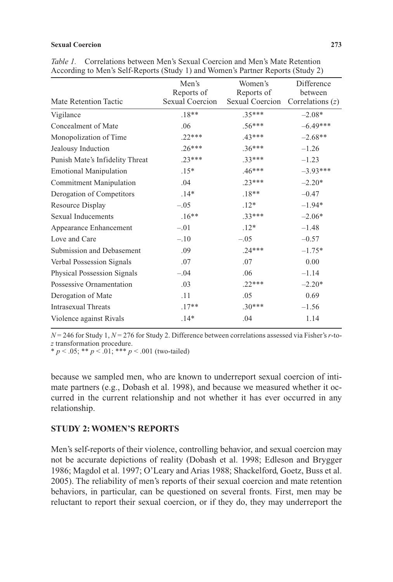| Mate Retention Tactic           | Men's<br>Reports of<br>Sexual Coercion | Women's<br>Reports of<br>Sexual Coercion | Difference<br>between<br>Correlations $(z)$ |
|---------------------------------|----------------------------------------|------------------------------------------|---------------------------------------------|
| Vigilance                       | $.18**$                                | $.35***$                                 | $-2.08*$                                    |
| Concealment of Mate             | .06                                    | $.56***$                                 | $-6.49***$                                  |
| Monopolization of Time          | $.22***$                               | $.43***$                                 | $-2.68**$                                   |
| Jealousy Induction              | $.26***$                               | $.36***$                                 | $-1.26$                                     |
| Punish Mate's Infidelity Threat | $.23***$                               | $.33***$                                 | $-1.23$                                     |
| <b>Emotional Manipulation</b>   | $.15*$                                 | $.46***$                                 | $-3.93***$                                  |
| <b>Commitment Manipulation</b>  | .04                                    | $.23***$                                 | $-2.20*$                                    |
| Derogation of Competitors       | $.14*$                                 | $.18**$                                  | $-0.47$                                     |
| Resource Display                | $-.05$                                 | $.12*$                                   | $-1.94*$                                    |
| Sexual Inducements              | $.16**$                                | $.33***$                                 | $-2.06*$                                    |
| Appearance Enhancement          | $-.01$                                 | $.12*$                                   | $-1.48$                                     |
| Love and Care                   | $-.10$                                 | $-.05$                                   | $-0.57$                                     |
| Submission and Debasement       | .09                                    | $.24***$                                 | $-1.75*$                                    |
| Verbal Possession Signals       | .07                                    | .07                                      | 0.00                                        |
| Physical Possession Signals     | $-.04$                                 | .06                                      | $-1.14$                                     |
| Possessive Ornamentation        | .03                                    | $.22***$                                 | $-2.20*$                                    |
| Derogation of Mate              | .11                                    | .05                                      | 0.69                                        |
| <b>Intrasexual Threats</b>      | $.17**$                                | $.30***$                                 | $-1.56$                                     |
| Violence against Rivals         | $.14*$                                 | .04                                      | 1.14                                        |
|                                 |                                        |                                          |                                             |

*Table 1.* Correlations between Men's Sexual Coercion and Men's Mate Retention According to Men's Self-Reports (Study 1) and Women's Partner Reports (Study 2)

*N* = 246 for Study 1, *N* = 276 for Study 2. Difference between correlations assessed via Fisher's *r*-to*z* transformation procedure.

\* *p* < .05; \*\* *p* < .01; \*\*\* *p* < .001 (two-tailed)

because we sampled men, who are known to underreport sexual coercion of intimate partners (e.g., Dobash et al. 1998), and because we measured whether it occurred in the current relationship and not whether it has ever occurred in any relationship.

# **STUDY 2: WOMEN'S REPORTS**

Men's self-reports of their violence, controlling behavior, and sexual coercion may not be accurate depictions of reality (Dobash et al. 1998; Edleson and Brygger 1986; Magdol et al. 1997; O'Leary and Arias 1988; Shackelford, Goetz, Buss et al. 2005). The reliability of men's reports of their sexual coercion and mate retention behaviors, in particular, can be questioned on several fronts. First, men may be reluctant to report their sexual coercion, or if they do, they may underreport the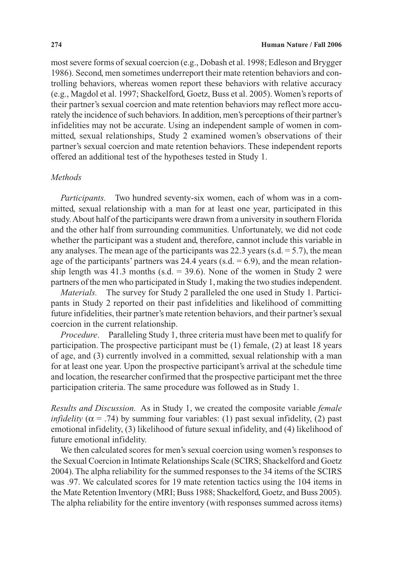most severe forms of sexual coercion (e.g., Dobash et al. 1998; Edleson and Brygger 1986). Second, men sometimes underreport their mate retention behaviors and controlling behaviors, whereas women report these behaviors with relative accuracy (e.g., Magdol et al. 1997; Shackelford, Goetz, Buss et al. 2005). Women's reports of their partner's sexual coercion and mate retention behaviors may reflect more accurately the incidence of such behaviors. In addition, men's perceptions of their partner's infidelities may not be accurate. Using an independent sample of women in committed, sexual relationships, Study 2 examined women's observations of their partner's sexual coercion and mate retention behaviors. These independent reports offered an additional test of the hypotheses tested in Study 1.

#### *Methods*

*Participants.* Two hundred seventy-six women, each of whom was in a committed, sexual relationship with a man for at least one year, participated in this study. About half of the participants were drawn from a university in southern Florida and the other half from surrounding communities. Unfortunately, we did not code whether the participant was a student and, therefore, cannot include this variable in any analyses. The mean age of the participants was 22.3 years (s.d.  $=$  5.7), the mean age of the participants' partners was 24.4 years (s.d.  $= 6.9$ ), and the mean relationship length was 41.3 months (s.d.  $=$  39.6). None of the women in Study 2 were partners of the men who participated in Study 1, making the two studies independent.

*Materials.* The survey for Study 2 paralleled the one used in Study 1. Participants in Study 2 reported on their past infidelities and likelihood of committing future infidelities, their partner's mate retention behaviors, and their partner's sexual coercion in the current relationship.

*Procedure*. Paralleling Study 1, three criteria must have been met to qualify for participation. The prospective participant must be (1) female, (2) at least 18 years of age, and (3) currently involved in a committed, sexual relationship with a man for at least one year. Upon the prospective participant's arrival at the schedule time and location, the researcher confirmed that the prospective participant met the three participation criteria. The same procedure was followed as in Study 1.

*Results and Discussion.* As in Study 1, we created the composite variable *female infidelity* ( $\alpha$  = .74) by summing four variables: (1) past sexual infidelity, (2) past emotional infidelity, (3) likelihood of future sexual infidelity, and (4) likelihood of future emotional infidelity.

We then calculated scores for men's sexual coercion using women's responses to the Sexual Coercion in Intimate Relationships Scale (SCIRS; Shackelford and Goetz 2004). The alpha reliability for the summed responses to the 34 items of the SCIRS was .97. We calculated scores for 19 mate retention tactics using the 104 items in the Mate Retention Inventory (MRI; Buss 1988; Shackelford, Goetz, and Buss 2005). The alpha reliability for the entire inventory (with responses summed across items)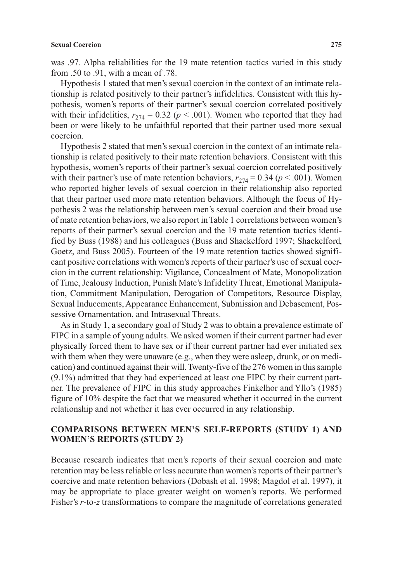was .97. Alpha reliabilities for the 19 mate retention tactics varied in this study from .50 to .91, with a mean of .78.

Hypothesis 1 stated that men's sexual coercion in the context of an intimate relationship is related positively to their partner's infidelities. Consistent with this hypothesis, women's reports of their partner's sexual coercion correlated positively with their infidelities,  $r_{274} = 0.32$  ( $p < .001$ ). Women who reported that they had been or were likely to be unfaithful reported that their partner used more sexual coercion.

Hypothesis 2 stated that men's sexual coercion in the context of an intimate relationship is related positively to their mate retention behaviors. Consistent with this hypothesis, women's reports of their partner's sexual coercion correlated positively with their partner's use of mate retention behaviors,  $r_{274} = 0.34$  ( $p < .001$ ). Women who reported higher levels of sexual coercion in their relationship also reported that their partner used more mate retention behaviors. Although the focus of Hypothesis 2 was the relationship between men's sexual coercion and their broad use of mate retention behaviors, we also report in Table 1 correlations between women's reports of their partner's sexual coercion and the 19 mate retention tactics identified by Buss (1988) and his colleagues (Buss and Shackelford 1997; Shackelford, Goetz, and Buss 2005). Fourteen of the 19 mate retention tactics showed significant positive correlations with women's reports of their partner's use of sexual coercion in the current relationship: Vigilance, Concealment of Mate, Monopolization of Time, Jealousy Induction, Punish Mate's Infidelity Threat, Emotional Manipulation, Commitment Manipulation, Derogation of Competitors, Resource Display, Sexual Inducements, Appearance Enhancement, Submission and Debasement, Possessive Ornamentation, and Intrasexual Threats.

As in Study 1, a secondary goal of Study 2 was to obtain a prevalence estimate of FIPC in a sample of young adults. We asked women if their current partner had ever physically forced them to have sex or if their current partner had ever initiated sex with them when they were unaware (e.g., when they were asleep, drunk, or on medication) and continued against their will. Twenty-five of the 276 women in this sample (9.1%) admitted that they had experienced at least one FIPC by their current partner. The prevalence of FIPC in this study approaches Finkelhor and Yllo's (1985) figure of 10% despite the fact that we measured whether it occurred in the current relationship and not whether it has ever occurred in any relationship.

# **COMPARISONS BETWEEN MEN'S SELF-REPORTS (STUDY 1) AND WOMEN'S REPORTS (STUDY 2)**

Because research indicates that men's reports of their sexual coercion and mate retention may be less reliable or less accurate than women's reports of their partner's coercive and mate retention behaviors (Dobash et al. 1998; Magdol et al. 1997), it may be appropriate to place greater weight on women's reports. We performed Fisher's *r*-to-*z* transformations to compare the magnitude of correlations generated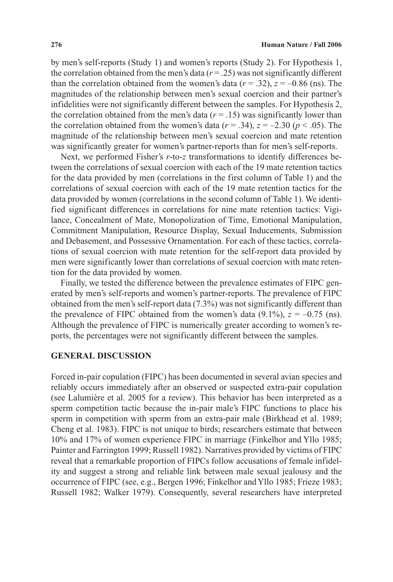by men's self-reports (Study 1) and women's reports (Study 2). For Hypothesis 1, the correlation obtained from the men's data  $(r = .25)$  was not significantly different than the correlation obtained from the women's data  $(r = .32)$ ,  $z = -0.86$  (ns). The magnitudes of the relationship between men's sexual coercion and their partner's infidelities were not significantly different between the samples. For Hypothesis 2, the correlation obtained from the men's data  $(r = .15)$  was significantly lower than the correlation obtained from the women's data  $(r = .34)$ ,  $z = -2.30$  ( $p < .05$ ). The magnitude of the relationship between men's sexual coercion and mate retention was significantly greater for women's partner-reports than for men's self-reports.

Next, we performed Fisher's *r*-to-*z* transformations to identify differences between the correlations of sexual coercion with each of the 19 mate retention tactics for the data provided by men (correlations in the first column of Table 1) and the correlations of sexual coercion with each of the 19 mate retention tactics for the data provided by women (correlations in the second column of Table 1). We identified significant differences in correlations for nine mate retention tactics: Vigilance, Concealment of Mate, Monopolization of Time, Emotional Manipulation, Commitment Manipulation, Resource Display, Sexual Inducements, Submission and Debasement, and Possessive Ornamentation. For each of these tactics, correlations of sexual coercion with mate retention for the self-report data provided by men were significantly lower than correlations of sexual coercion with mate retention for the data provided by women.

Finally, we tested the difference between the prevalence estimates of FIPC generated by men's self-reports and women's partner-reports. The prevalence of FIPC obtained from the men's self-report data (7.3%) was not significantly different than the prevalence of FIPC obtained from the women's data  $(9.1\%)$ ,  $z = -0.75$  (ns). Although the prevalence of FIPC is numerically greater according to women's reports, the percentages were not significantly different between the samples.

# **GENERAL DISCUSSION**

Forced in-pair copulation (FIPC) has been documented in several avian species and reliably occurs immediately after an observed or suspected extra-pair copulation (see Lalumière et al. 2005 for a review). This behavior has been interpreted as a sperm competition tactic because the in-pair male's FIPC functions to place his sperm in competition with sperm from an extra-pair male (Birkhead et al. 1989; Cheng et al. 1983). FIPC is not unique to birds; researchers estimate that between 10% and 17% of women experience FIPC in marriage (Finkelhor and Yllo 1985; Painter and Farrington 1999; Russell 1982). Narratives provided by victims of FIPC reveal that a remarkable proportion of FIPCs follow accusations of female infidelity and suggest a strong and reliable link between male sexual jealousy and the occurrence of FIPC (see, e.g., Bergen 1996; Finkelhor and Yllo 1985; Frieze 1983; Russell 1982; Walker 1979). Consequently, several researchers have interpreted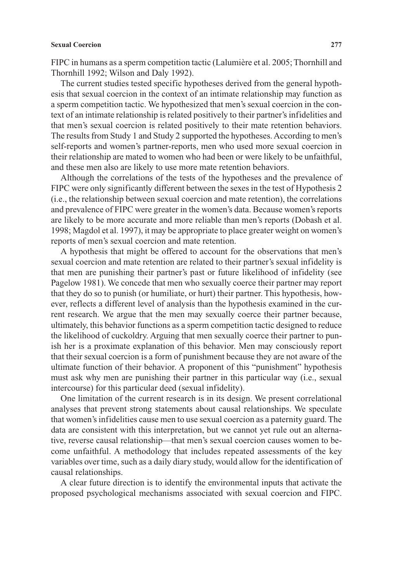FIPC in humans as a sperm competition tactic (Lalumière et al. 2005; Thornhill and Thornhill 1992; Wilson and Daly 1992).

The current studies tested specific hypotheses derived from the general hypothesis that sexual coercion in the context of an intimate relationship may function as a sperm competition tactic. We hypothesized that men's sexual coercion in the context of an intimate relationship is related positively to their partner's infidelities and that men's sexual coercion is related positively to their mate retention behaviors. The results from Study 1 and Study 2 supported the hypotheses. According to men's self-reports and women's partner-reports, men who used more sexual coercion in their relationship are mated to women who had been or were likely to be unfaithful, and these men also are likely to use more mate retention behaviors.

Although the correlations of the tests of the hypotheses and the prevalence of FIPC were only significantly different between the sexes in the test of Hypothesis 2 (i.e., the relationship between sexual coercion and mate retention), the correlations and prevalence of FIPC were greater in the women's data. Because women's reports are likely to be more accurate and more reliable than men's reports (Dobash et al. 1998; Magdol et al. 1997), it may be appropriate to place greater weight on women's reports of men's sexual coercion and mate retention.

A hypothesis that might be offered to account for the observations that men's sexual coercion and mate retention are related to their partner's sexual infidelity is that men are punishing their partner's past or future likelihood of infidelity (see Pagelow 1981). We concede that men who sexually coerce their partner may report that they do so to punish (or humiliate, or hurt) their partner. This hypothesis, however, reflects a different level of analysis than the hypothesis examined in the current research. We argue that the men may sexually coerce their partner because, ultimately, this behavior functions as a sperm competition tactic designed to reduce the likelihood of cuckoldry. Arguing that men sexually coerce their partner to punish her is a proximate explanation of this behavior. Men may consciously report that their sexual coercion is a form of punishment because they are not aware of the ultimate function of their behavior. A proponent of this "punishment" hypothesis must ask why men are punishing their partner in this particular way (i.e., sexual intercourse) for this particular deed (sexual infidelity).

One limitation of the current research is in its design. We present correlational analyses that prevent strong statements about causal relationships. We speculate that women's infidelities cause men to use sexual coercion as a paternity guard. The data are consistent with this interpretation, but we cannot yet rule out an alternative, reverse causal relationship—that men's sexual coercion causes women to become unfaithful. A methodology that includes repeated assessments of the key variables over time, such as a daily diary study, would allow for the identification of causal relationships.

A clear future direction is to identify the environmental inputs that activate the proposed psychological mechanisms associated with sexual coercion and FIPC.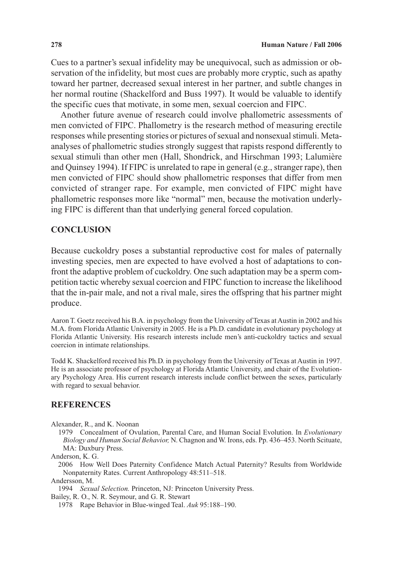Cues to a partner's sexual infidelity may be unequivocal, such as admission or observation of the infidelity, but most cues are probably more cryptic, such as apathy toward her partner, decreased sexual interest in her partner, and subtle changes in her normal routine (Shackelford and Buss 1997). It would be valuable to identify the specific cues that motivate, in some men, sexual coercion and FIPC.

Another future avenue of research could involve phallometric assessments of men convicted of FIPC. Phallometry is the research method of measuring erectile responses while presenting stories or pictures of sexual and nonsexual stimuli. Metaanalyses of phallometric studies strongly suggest that rapists respond differently to sexual stimuli than other men (Hall, Shondrick, and Hirschman 1993; Lalumière and Quinsey 1994). If FIPC is unrelated to rape in general (e.g., stranger rape), then men convicted of FIPC should show phallometric responses that differ from men convicted of stranger rape. For example, men convicted of FIPC might have phallometric responses more like "normal" men, because the motivation underlying FIPC is different than that underlying general forced copulation.

# **CONCLUSION**

Because cuckoldry poses a substantial reproductive cost for males of paternally investing species, men are expected to have evolved a host of adaptations to confront the adaptive problem of cuckoldry. One such adaptation may be a sperm competition tactic whereby sexual coercion and FIPC function to increase the likelihood that the in-pair male, and not a rival male, sires the offspring that his partner might produce.

Aaron T. Goetz received his B.A. in psychology from the University of Texas at Austin in 2002 and his M.A. from Florida Atlantic University in 2005. He is a Ph.D. candidate in evolutionary psychology at Florida Atlantic University. His research interests include men's anti-cuckoldry tactics and sexual coercion in intimate relationships.

Todd K. Shackelford received his Ph.D. in psychology from the University of Texas at Austin in 1997. He is an associate professor of psychology at Florida Atlantic University, and chair of the Evolutionary Psychology Area. His current research interests include conflict between the sexes, particularly with regard to sexual behavior.

### **REFERENCES**

Alexander, R., and K. Noonan

1979 Concealment of Ovulation, Parental Care, and Human Social Evolution. In *Evolutionary Biology and Human Social Behavior,* N. Chagnon and W. Irons, eds. Pp. 436–453. North Scituate, MA: Duxbury Press.

Anderson, K. G.

2006 How Well Does Paternity Confidence Match Actual Paternity? Results from Worldwide Nonpaternity Rates. Current Anthropology 48:511–518.

Andersson, M.

1994 *Sexual Selection.* Princeton, NJ: Princeton University Press.

Bailey, R. O., N. R. Seymour, and G. R. Stewart

1978 Rape Behavior in Blue-winged Teal. *Auk* 95:188–190.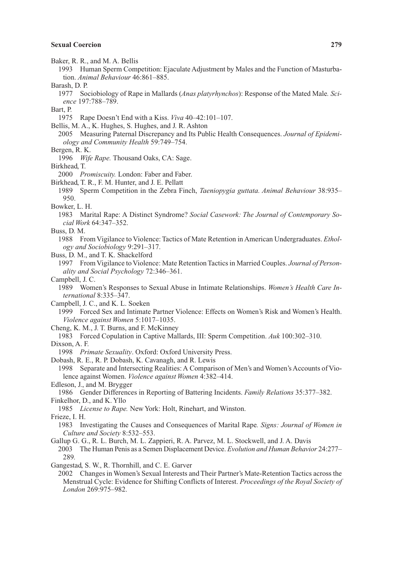Baker, R. R., and M. A. Bellis

1993 Human Sperm Competition: Ejaculate Adjustment by Males and the Function of Masturbation. *Animal Behaviour* 46:861–885.

Barash, D. P.

1977 Sociobiology of Rape in Mallards (*Anas platyrhynchos*): Response of the Mated Male*. Science* 197:788–789.

Bart, P.

1975 Rape Doesn't End with a Kiss. *Viva* 40–42:101–107.

Bellis, M. A., K. Hughes, S. Hughes, and J. R. Ashton

- 2005 Measuring Paternal Discrepancy and Its Public Health Consequences. *Journal of Epidemiology and Community Health* 59:749–754.
- Bergen, R. K.

1996 *Wife Rape.* Thousand Oaks, CA: Sage.

Birkhead, T.

2000 *Promiscuity.* London: Faber and Faber.

Birkhead, T. R., F. M. Hunter, and J. E. Pellatt

1989 Sperm Competition in the Zebra Finch, *Taeniopygia guttata. Animal Behaviour* 38:935– 950.

Bowker, L. H.

1983 Marital Rape: A Distinct Syndrome? *Social Casework: The Journal of Contemporary Social Work* 64:347–352.

Buss, D. M.

- 1988 From Vigilance to Violence: Tactics of Mate Retention in American Undergraduates. *Ethology and Sociobiology* 9:291–317.
- Buss, D. M., and T. K. Shackelford
- 1997 From Vigilance to Violence: Mate Retention Tactics in Married Couples. *Journal of Personality and Social Psychology* 72:346–361.
- Campbell, J. C.

1989 Women's Responses to Sexual Abuse in Intimate Relationships. *Women's Health Care International* 8:335–347.

Campbell, J. C., and K. L. Soeken 1999 Forced Sex and Intimate Partner Violence: Effects on Women's Risk and Women's Health. *Violence against Women* 5:1017–1035.

Cheng, K. M., J. T. Burns, and F. McKinney

1983 Forced Copulation in Captive Mallards, III: Sperm Competition. *Auk* 100:302–310.

Dixson, A. F.

1998 *Primate Sexuality*. Oxford: Oxford University Press.

Dobash, R. E., R. P. Dobash, K. Cavanagh, and R. Lewis

1998 Separate and Intersecting Realities: A Comparison of Men's and Women's Accounts of Violence against Women. *Violence against Women* 4:382–414.

Edleson, J., and M. Brygger

1986 Gender Differences in Reporting of Battering Incidents. *Family Relations* 35:377–382. Finkelhor, D., and K. Yllo

1985 *License to Rape.* New York: Holt, Rinehart, and Winston.

Frieze, I. H.

1983 Investigating the Causes and Consequences of Marital Rape*. Signs: Journal of Women in Culture and Society* 8:532–553.

Gallup G. G., R. L. Burch, M. L. Zappieri, R. A. Parvez, M. L. Stockwell, and J. A. Davis 2003 The Human Penis as a Semen Displacement Device. *Evolution and Human Behavior* 24:277– 289*.*

Gangestad, S. W., R. Thornhill, and C. E. Garver

2002 Changes in Women's Sexual Interests and Their Partner's Mate-Retention Tactics across the Menstrual Cycle: Evidence for Shifting Conflicts of Interest. *Proceedings of the Royal Society of London* 269:975–982.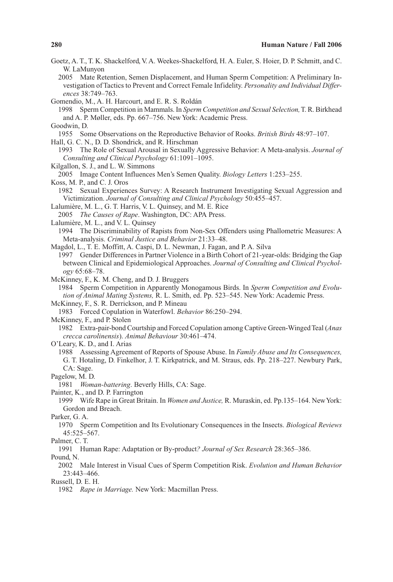Goetz, A. T., T. K. Shackelford, V. A. Weekes-Shackelford, H. A. Euler, S. Hoier, D. P. Schmitt, and C. W. LaMunyon

2005 Mate Retention, Semen Displacement, and Human Sperm Competition: A Preliminary Investigation of Tactics to Prevent and Correct Female Infidelity. *Personality and Individual Differences* 38:749–763.

Gomendio, M., A. H. Harcourt, and E. R. S. Roldán

1998 Sperm Competition in Mammals. In *Sperm Competition and Sexual Selection,*T. R. Birkhead and A. P. Møller, eds. Pp. 667–756. New York: Academic Press.

Goodwin, D.

- 1955 Some Observations on the Reproductive Behavior of Rooks. *British Birds* 48:97–107.
- Hall, G. C. N., D. D. Shondrick, and R. Hirschman

1993 The Role of Sexual Arousal in Sexually Aggressive Behavior: A Meta-analysis. *Journal of Consulting and Clinical Psychology* 61:1091–1095.

Kilgallon, S. J., and L. W. Simmons

2005 Image Content Influences Men's Semen Quality. *Biology Letters* 1:253–255.

Koss, M. P., and C. J. Oros

1982 Sexual Experiences Survey: A Research Instrument Investigating Sexual Aggression and Victimization. *Journal of Consulting and Clinical Psychology* 50:455–457.

Lalumière, M. L., G. T. Harris, V. L. Quinsey, and M. E. Rice 2005 *The Causes of Rape*. Washington, DC: APA Press.

Lalumière, M. L., and V. L. Quinsey

1994 The Discriminability of Rapists from Non-Sex Offenders using Phallometric Measures: A Meta-analysis. *Criminal Justice and Behavior* 21:33–48.

Magdol, L., T. E. Moffitt, A. Caspi, D. L. Newman, J. Fagan, and P. A. Silva

1997 Gender Differences in Partner Violence in a Birth Cohort of 21-year-olds: Bridging the Gap between Clinical and Epidemiological Approaches. *Journal of Consulting and Clinical Psychology* 65:68–78.

McKinney, F., K. M. Cheng, and D. J. Bruggers

1984 Sperm Competition in Apparently Monogamous Birds. In *Sperm Competition and Evolution of Animal Mating Systems,* R. L. Smith, ed. Pp. 523–545. New York: Academic Press.

McKinney, F., S. R. Derrickson, and P. Mineau

1983 Forced Copulation in Waterfowl. *Behavior* 86:250–294.

McKinney, F., and P. Stolen

1982 Extra-pair-bond Courtship and Forced Copulation among Captive Green-Winged Teal (*Anas crecca carolinensis*). *Animal Behaviour* 30:461–474.

O'Leary, K. D., and I. Arias

1988 Assessing Agreement of Reports of Spouse Abuse. In *Family Abuse and Its Consequences,* G. T. Hotaling, D. Finkelhor, J. T. Kirkpatrick, and M. Straus, eds. Pp. 218–227. Newbury Park, CA: Sage.

Pagelow, M. D.

1981 *Woman-battering*. Beverly Hills, CA: Sage.

Painter, K., and D. P. Farrington

1999 Wife Rape in Great Britain. In *Women and Justice,* R. Muraskin, ed. Pp.135–164. New York: Gordon and Breach.

Parker, G. A.

1970 Sperm Competition and Its Evolutionary Consequences in the Insects. *Biological Reviews* 45:525–567.

Palmer, C. T.

1991 Human Rape: Adaptation or By-product*? Journal of Sex Research* 28:365–386.

Pound, N.

2002 Male Interest in Visual Cues of Sperm Competition Risk. *Evolution and Human Behavior* 23:443–466.

Russell, D. E. H.

1982 *Rape in Marriage.* New York: Macmillan Press.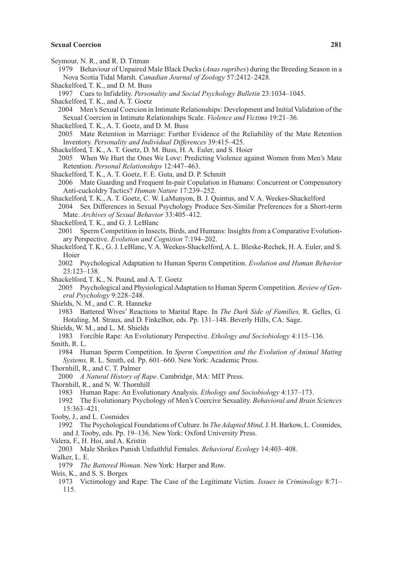Seymour, N. R., and R. D. Titman

1979 Behaviour of Unpaired Male Black Ducks (*Anas rupribes*) during the Breeding Season in a Nova Scotia Tidal Marsh. *Canadian Journal of Zoology* 57:2412–2428.

Shackelford, T. K., and D. M. Buss

1997 Cues to Infidelity. *Personality and Social Psychology Bulletin* 23:1034–1045.

Shackelford, T. K., and A. T. Goetz

2004 Men's Sexual Coercion in Intimate Relationships: Development and Initial Validation of the Sexual Coercion in Intimate Relationships Scale. *Violence and Victims* 19:21–36.

Shackelford, T. K., A. T. Goetz, and D. M. Buss

2005 Mate Retention in Marriage: Further Evidence of the Reliability of the Mate Retention Inventory. *Personality and Individual Differences* 39:415–425.

Shackelford, T. K., A. T. Goetz, D. M. Buss, H. A. Euler, and S. Hoier

2005 When We Hurt the Ones We Love: Predicting Violence against Women from Men's Mate Retention. *Personal Relationships* 12:447–463.

Shackelford, T. K., A. T. Goetz, F. E. Guta, and D. P. Schmitt 2006 Mate Guarding and Frequent In-pair Copulation in Humans: Concurrent or Compensatory Anti-cuckoldry Tactics? *Human Nature* 17:239–252.

Shackelford, T. K., A. T. Goetz, C. W. LaMunyon, B. J. Quintus, and V. A. Weekes-Shackelford 2004 Sex Differences in Sexual Psychology Produce Sex-Similar Preferences for a Short-term Mate. *Archives of Sexual Behavior* 33:405–412.

Shackelford, T. K., and G. J. LeBlanc

2001 Sperm Competition in Insects, Birds, and Humans: Insights from a Comparative Evolutionary Perspective. *Evolution and Cognition* 7:194–202.

Shackelford, T. K., G. J. LeBlanc, V. A. Weekes-Shackelford, A. L. Bleske-Rechek, H. A. Euler, and S. Hoier

2002 Psychological Adaptation to Human Sperm Competition. *Evolution and Human Behavior* 23:123–138.

Shackelford, T. K., N. Pound, and A. T. Goetz

2005 Psychological and Physiological Adaptation to Human Sperm Competition. *Review of General Psychology* 9:228–248.

Shields, N. M., and C. R. Hanneke

1983 Battered Wives' Reactions to Marital Rape. In *The Dark Side of Families,* R. Gelles, G. Hotaling, M. Straus, and D. Finkelhor, eds. Pp. 131–148. Beverly Hills, CA: Sage.

Shields, W. M., and L. M. Shields

1983 Forcible Rape: An Evolutionary Perspective. *Ethology and Sociobiology* 4:115–136. Smith, R. L.

1984 Human Sperm Competition. In *Sperm Competition and the Evolution of Animal Mating Systems,* R. L. Smith, ed. Pp. 601–660. New York: Academic Press.

Thornhill, R., and C. T. Palmer

2000 *A Natural History of Rape*. Cambridge, MA: MIT Press.

Thornhill, R., and N. W. Thornhill

1983 Human Rape: An Evolutionary Analysis. *Ethology and Sociobiology* 4:137–173.

1992 The Evolutionary Psychology of Men's Coercive Sexuality. *Behavioral and Brain Sciences* 15:363–421.

Tooby, J., and L. Cosmides

1992 The Psychological Foundations of Culture. In *The Adapted Mind,*J. H. Barkow, L. Cosmides, and J. Tooby, eds. Pp. 19–136. New York: Oxford University Press.

Valera, F., H. Hoi, and A. Kristin

2003 Male Shrikes Punish Unfaithful Females. *Behavioral Ecology* 14:403–408.

Walker, L. E.

1979 *The Battered Woman*. New York: Harper and Row.

Weis, K., and S. S. Borges

1973 Victimology and Rape: The Case of the Legitimate Victim. *Issues in Criminology* 8:71– 115.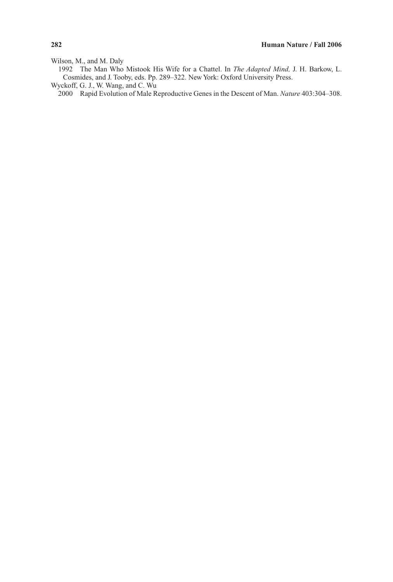Wilson, M., and M. Daly

- 1992 The Man Who Mistook His Wife for a Chattel. In *The Adapted Mind,* J. H. Barkow, L. Cosmides, and J. Tooby, eds. Pp. 289–322. New York: Oxford University Press.
- Wyckoff, G. J., W. Wang, and C. Wu

2000 Rapid Evolution of Male Reproductive Genes in the Descent of Man. *Nature* 403:304–308.